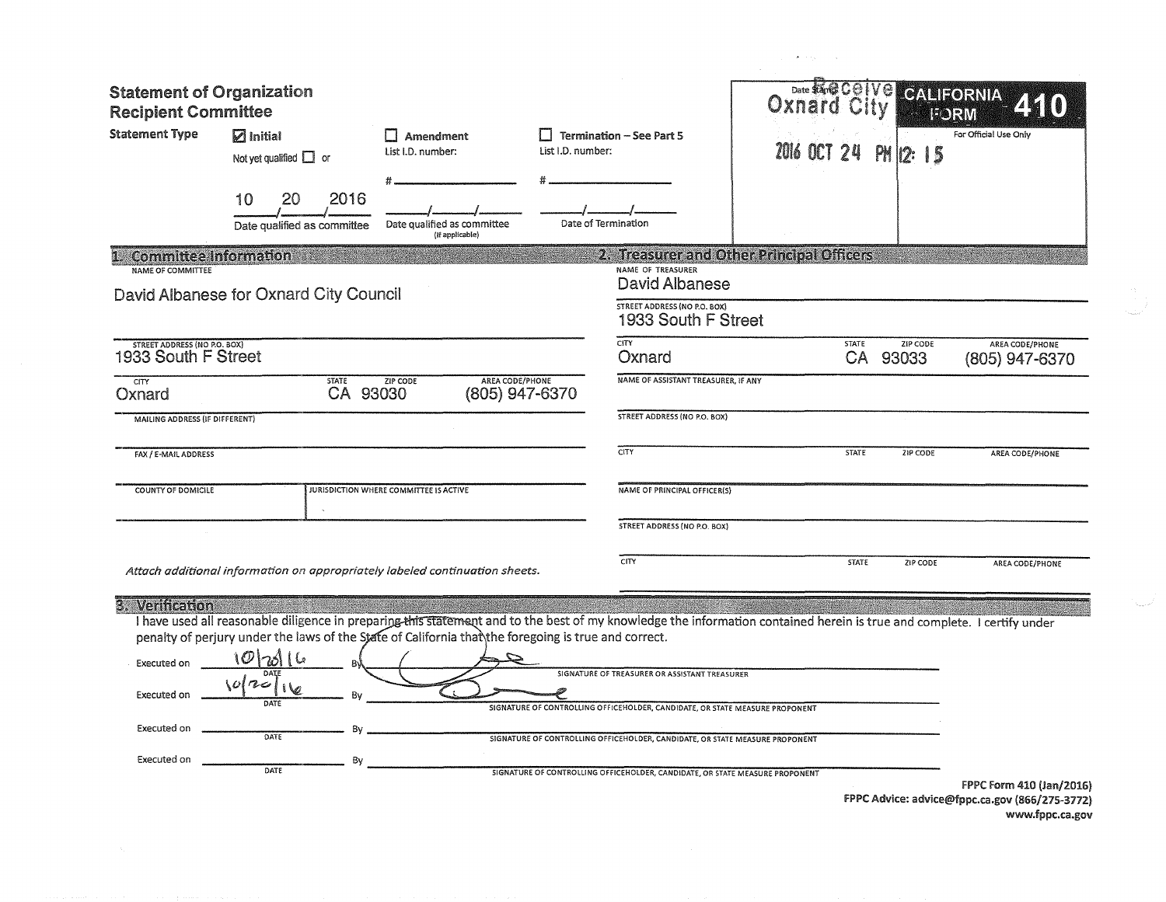| <b>Statement of Organization</b><br><b>Recipient Committee</b>              |                                                                                                                                                                                                                                                                                                     |                                                            |                                          |                                                                                                                                                                                                               | Date Sand COIVO<br>Oxna |              |                      | <b>GAURORNA</b><br><b>BARTIN</b>         |
|-----------------------------------------------------------------------------|-----------------------------------------------------------------------------------------------------------------------------------------------------------------------------------------------------------------------------------------------------------------------------------------------------|------------------------------------------------------------|------------------------------------------|---------------------------------------------------------------------------------------------------------------------------------------------------------------------------------------------------------------|-------------------------|--------------|----------------------|------------------------------------------|
| <b>Statement Type</b>                                                       | $\nabla$ Initial<br>Not yet qualified $\Box$ or                                                                                                                                                                                                                                                     | $\Box$ Amendment<br>List I.D. number:<br>List I.D. number: |                                          | <b>Termination - See Part 5</b>                                                                                                                                                                               | 2016 OCT 24             |              | PM<br>12:15          | For Official Use Only                    |
|                                                                             | 2016<br>20<br>10<br>Date qualified as committee                                                                                                                                                                                                                                                     | Date qualified as committee<br>(If applicable)             |                                          | Date of Termination                                                                                                                                                                                           |                         |              |                      |                                          |
| <b>Committee Information</b><br><b>NAME OF COMMITTEE</b>                    |                                                                                                                                                                                                                                                                                                     |                                                            |                                          | 2. Treasurer and Other Principal Officers<br>NAME OF TREASURER                                                                                                                                                |                         |              |                      |                                          |
|                                                                             | David Albanese for Oxnard City Council                                                                                                                                                                                                                                                              |                                                            |                                          | <b>David Albanese</b><br><b>STREET ADDRESS (NO P.O. BOX)</b><br>1933 South F Street                                                                                                                           |                         |              |                      |                                          |
| <b>STREET ADDRESS (NO P.O. BOX)</b><br>1933 South F Street                  |                                                                                                                                                                                                                                                                                                     |                                                            |                                          | <b>CITY</b><br>Oxnard                                                                                                                                                                                         |                         | <b>STATE</b> | ZIP CODE<br>CA 93033 | <b>AREA CODE/PHONE</b><br>(805) 947-6370 |
| CITY<br>Oxnard                                                              | <b>STATE</b><br>CA 93030                                                                                                                                                                                                                                                                            | <b>ZIP CODE</b>                                            | <b>AREA CODE/PHONE</b><br>(805) 947-6370 | NAME OF ASSISTANT TREASURER, IF ANY                                                                                                                                                                           |                         |              |                      |                                          |
| <b>MAILING ADDRESS (IF DIFFERENT)</b>                                       |                                                                                                                                                                                                                                                                                                     |                                                            |                                          | STREET ADDRESS (NO P.O. BOX)                                                                                                                                                                                  |                         |              |                      |                                          |
| FAX / E-MAIL ADDRESS                                                        |                                                                                                                                                                                                                                                                                                     |                                                            |                                          | CITY                                                                                                                                                                                                          |                         | <b>STATE</b> | ZIP CODE             | AREA CODE/PHONE                          |
| <b>COUNTY OF DOMICILE</b>                                                   |                                                                                                                                                                                                                                                                                                     | <b>JURISDICTION WHERE COMMITTEE IS ACTIVE</b>              |                                          | NAME OF PRINCIPAL OFFICER(S)                                                                                                                                                                                  |                         |              |                      |                                          |
|                                                                             |                                                                                                                                                                                                                                                                                                     |                                                            |                                          | STREET ADDRESS (NO P.O. BOX)                                                                                                                                                                                  |                         |              |                      |                                          |
|                                                                             | Attach additional information on appropriately labeled continuation sheets.                                                                                                                                                                                                                         |                                                            |                                          | CITY                                                                                                                                                                                                          |                         | <b>STATE</b> | ZIP CODE             | AREA CODE/PHONE                          |
| 3. Verification<br>Executed on<br>Executed on<br>Executed on<br>Executed on | I have used all reasonable diligence in preparing this statement and to the best of my knowledge the information contained herein is true and complete. I certify under<br>penalty of perjury under the laws of the State of California that the foregoing is true and correct.<br>Bν<br>DATE<br>By |                                                            |                                          | SIGNATURE OF TREASURER OR ASSISTANT TREASURER<br>SIGNATURE OF CONTROLLING OFFICEHOLDER, CANDIDATE, OR STATE MEASURE PROPONENT<br>SIGNATURE OF CONTROLLING OFFICEHOLDER, CANDIDATE, OR STATE MEASURE PROPONENT |                         |              |                      |                                          |
|                                                                             | DATE                                                                                                                                                                                                                                                                                                |                                                            |                                          | SIGNATURE OF CONTROLLING OFFICEHOLDER, CANDIDATE, OR STATE MEASURE PROPONENT                                                                                                                                  |                         |              |                      | FPPC Form 410 (Jan/2016)                 |

 $\chi^2$  , we say  $\chi^2$  ,  $\chi^2$ 

FPPC Advice: ad11ice@fppc.ca.go11 (866/275-3772) www.fppc.ca.gov